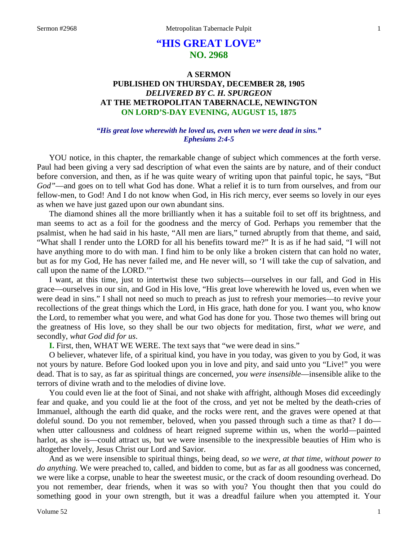# **"HIS GREAT LOVE" NO. 2968**

# **A SERMON PUBLISHED ON THURSDAY, DECEMBER 28, 1905** *DELIVERED BY C. H. SPURGEON* **AT THE METROPOLITAN TABERNACLE, NEWINGTON ON LORD'S-DAY EVENING, AUGUST 15, 1875**

#### *"His great love wherewith he loved us, even when we were dead in sins." Ephesians 2:4-5*

YOU notice, in this chapter, the remarkable change of subject which commences at the forth verse. Paul had been giving a very sad description of what even the saints are by nature, and of their conduct before conversion, and then, as if he was quite weary of writing upon that painful topic, he says, "But *God"*—and goes on to tell what God has done. What a relief it is to turn from ourselves, and from our fellow-men, to God! And I do not know when God, in His rich mercy, ever seems so lovely in our eyes as when we have just gazed upon our own abundant sins.

The diamond shines all the more brilliantly when it has a suitable foil to set off its brightness, and man seems to act as a foil for the goodness and the mercy of God. Perhaps you remember that the psalmist, when he had said in his haste, "All men are liars," turned abruptly from that theme, and said, "What shall I render unto the LORD for all his benefits toward me?" It is as if he had said, "I will not have anything more to do with man. I find him to be only like a broken cistern that can hold no water, but as for my God, He has never failed me, and He never will, so 'I will take the cup of salvation, and call upon the name of the LORD.'"

I want, at this time, just to intertwist these two subjects—ourselves in our fall, and God in His grace—ourselves in our sin, and God in His love, "His great love wherewith he loved us, even when we were dead in sins." I shall not need so much to preach as just to refresh your memories—to revive your recollections of the great things which the Lord, in His grace, hath done for you. I want you, who know the Lord, to remember what you were, and what God has done for you. Those two themes will bring out the greatness of His love, so they shall be our two objects for meditation, first, *what we were,* and secondly, *what God did for us*.

**I.** First, then, WHAT WE WERE. The text says that "we were dead in sins."

O believer, whatever life, of a spiritual kind, you have in you today, was given to you by God, it was not yours by nature. Before God looked upon you in love and pity, and said unto you "Live!" you were dead. That is to say, as far as spiritual things are concerned, *you were insensible*—insensible alike to the terrors of divine wrath and to the melodies of divine love.

You could even lie at the foot of Sinai, and not shake with affright, although Moses did exceedingly fear and quake, and you could lie at the foot of the cross, and yet not be melted by the death-cries of Immanuel, although the earth did quake, and the rocks were rent, and the graves were opened at that doleful sound. Do you not remember, beloved, when you passed through such a time as that? I do when utter callousness and coldness of heart reigned supreme within us, when the world—painted harlot, as she is—could attract us, but we were insensible to the inexpressible beauties of Him who is altogether lovely, Jesus Christ our Lord and Savior.

And as we were insensible to spiritual things, being dead, *so we were, at that time, without power to do anything.* We were preached to, called, and bidden to come, but as far as all goodness was concerned, we were like a corpse, unable to hear the sweetest music, or the crack of doom resounding overhead. Do you not remember, dear friends, when it was so with you? You thought then that you could do something good in your own strength, but it was a dreadful failure when you attempted it. Your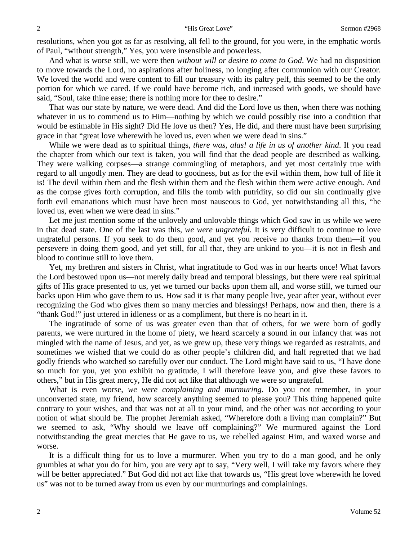resolutions, when you got as far as resolving, all fell to the ground, for you were, in the emphatic words of Paul, "without strength," Yes, you were insensible and powerless.

And what is worse still, we were then *without will or desire to come to God*. We had no disposition to move towards the Lord, no aspirations after holiness, no longing after communion with our Creator. We loved the world and were content to fill our treasury with its paltry pelf, this seemed to be the only portion for which we cared. If we could have become rich, and increased with goods, we should have said, "Soul, take thine ease; there is nothing more for thee to desire."

That was our state by nature, we were dead. And did the Lord love us then, when there was nothing whatever in us to commend us to Him—nothing by which we could possibly rise into a condition that would be estimable in His sight? Did He love us then? Yes, He did, and there must have been surprising grace in that "great love wherewith he loved us, even when we were dead in sins."

While we were dead as to spiritual things, *there was, alas! a life in us of another kind*. If you read the chapter from which our text is taken, you will find that the dead people are described as walking. They were walking corpses—a strange commingling of metaphors, and yet most certainly true with regard to all ungodly men. They are dead to goodness, but as for the evil within them, how full of life it is! The devil within them and the flesh within them and the flesh within them were active enough. And as the corpse gives forth corruption, and fills the tomb with putridity, so did our sin continually give forth evil emanations which must have been most nauseous to God, yet notwithstanding all this, "he loved us, even when we were dead in sins."

Let me just mention some of the unlovely and unlovable things which God saw in us while we were in that dead state. One of the last was this, *we were ungrateful*. It is very difficult to continue to love ungrateful persons. If you seek to do them good, and yet you receive no thanks from them—if you persevere in doing them good, and yet still, for all that, they are unkind to you—it is not in flesh and blood to continue still to love them.

Yet, my brethren and sisters in Christ, what ingratitude to God was in our hearts once! What favors the Lord bestowed upon us—not merely daily bread and temporal blessings, but there were real spiritual gifts of His grace presented to us, yet we turned our backs upon them all, and worse still, we turned our backs upon Him who gave them to us. How sad it is that many people live, year after year, without ever recognizing the God who gives them so many mercies and blessings! Perhaps, now and then, there is a "thank God!" just uttered in idleness or as a compliment, but there is no heart in it.

The ingratitude of some of us was greater even than that of others, for we were born of godly parents, we were nurtured in the home of piety, we heard scarcely a sound in our infancy that was not mingled with the name of Jesus, and yet, as we grew up, these very things we regarded as restraints, and sometimes we wished that we could do as other people's children did, and half regretted that we had godly friends who watched so carefully over our conduct. The Lord might have said to us, "I have done so much for you, yet you exhibit no gratitude, I will therefore leave you, and give these favors to others," but in His great mercy, He did not act like that although we were so ungrateful.

What is even worse, *we were complaining and murmuring*. Do you not remember, in your unconverted state, my friend, how scarcely anything seemed to please you? This thing happened quite contrary to your wishes, and that was not at all to your mind, and the other was not according to your notion of what should be. The prophet Jeremiah asked, "Wherefore doth a living man complain?" But we seemed to ask, "Why should we leave off complaining?" We murmured against the Lord notwithstanding the great mercies that He gave to us, we rebelled against Him, and waxed worse and worse.

It is a difficult thing for us to love a murmurer. When you try to do a man good, and he only grumbles at what you do for him, you are very apt to say, "Very well, I will take my favors where they will be better appreciated." But God did not act like that towards us, "His great love wherewith he loved us" was not to be turned away from us even by our murmurings and complainings.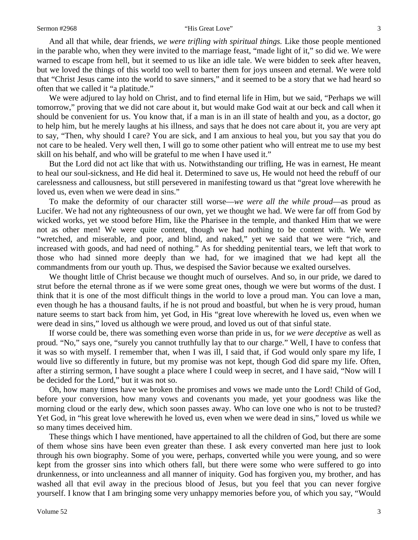#### Sermon #2968 **Sermon #2968** "His Great Love" 3

And all that while, dear friends, *we were trifling with spiritual things.* Like those people mentioned in the parable who, when they were invited to the marriage feast, "made light of it," so did we. We were warned to escape from hell, but it seemed to us like an idle tale. We were bidden to seek after heaven, but we loved the things of this world too well to barter them for joys unseen and eternal. We were told that "Christ Jesus came into the world to save sinners," and it seemed to be a story that we had heard so often that we called it "a platitude."

We were adjured to lay hold on Christ, and to find eternal life in Him, but we said, "Perhaps we will tomorrow," proving that we did not care about it, but would make God wait at our beck and call when it should be convenient for us. You know that, if a man is in an ill state of health and you, as a doctor, go to help him, but he merely laughs at his illness, and says that he does not care about it, you are very apt to say, "Then, why should I care? You are sick, and I am anxious to heal you, but you say that you do not care to be healed. Very well then, I will go to some other patient who will entreat me to use my best skill on his behalf, and who will be grateful to me when I have used it."

But the Lord did not act like that with us. Notwithstanding our trifling, He was in earnest, He meant to heal our soul-sickness, and He did heal it. Determined to save us, He would not heed the rebuff of our carelessness and callousness, but still persevered in manifesting toward us that "great love wherewith he loved us, even when we were dead in sins."

To make the deformity of our character still worse—*we were all the while proud*—as proud as Lucifer. We had not any righteousness of our own, yet we thought we had. We were far off from God by wicked works, yet we stood before Him, like the Pharisee in the temple, and thanked Him that we were not as other men! We were quite content, though we had nothing to be content with. We were "wretched, and miserable, and poor, and blind, and naked," yet we said that we were "rich, and increased with goods, and had need of nothing." As for shedding penitential tears, we left that work to those who had sinned more deeply than we had, for we imagined that we had kept all the commandments from our youth up. Thus, we despised the Savior because we exalted ourselves.

We thought little of Christ because we thought much of ourselves. And so, in our pride, we dared to strut before the eternal throne as if we were some great ones, though we were but worms of the dust. I think that it is one of the most difficult things in the world to love a proud man. You can love a man, even though he has a thousand faults, if he is not proud and boastful, but when he is very proud, human nature seems to start back from him, yet God, in His "great love wherewith he loved us, even when we were dead in sins," loved us although we were proud, and loved us out of that sinful state.

If worse could be, there was something even worse than pride in us, for *we were deceptive* as well as proud. "No," says one, "surely you cannot truthfully lay that to our charge." Well, I have to confess that it was so with myself. I remember that, when I was ill, I said that, if God would only spare my life, I would live so differently in future, but my promise was not kept, though God did spare my life. Often, after a stirring sermon, I have sought a place where I could weep in secret, and I have said, "Now will I be decided for the Lord," but it was not so.

Oh, how many times have we broken the promises and vows we made unto the Lord! Child of God, before your conversion, how many vows and covenants you made, yet your goodness was like the morning cloud or the early dew, which soon passes away. Who can love one who is not to be trusted? Yet God, in "his great love wherewith he loved us, even when we were dead in sins," loved us while we so many times deceived him.

These things which I have mentioned, have appertained to all the children of God, but there are some of them whose sins have been even greater than these. I ask every converted man here just to look through his own biography. Some of you were, perhaps, converted while you were young, and so were kept from the grosser sins into which others fall, but there were some who were suffered to go into drunkenness, or into uncleanness and all manner of iniquity. God has forgiven you, my brother, and has washed all that evil away in the precious blood of Jesus, but you feel that you can never forgive yourself. I know that I am bringing some very unhappy memories before you, of which you say, "Would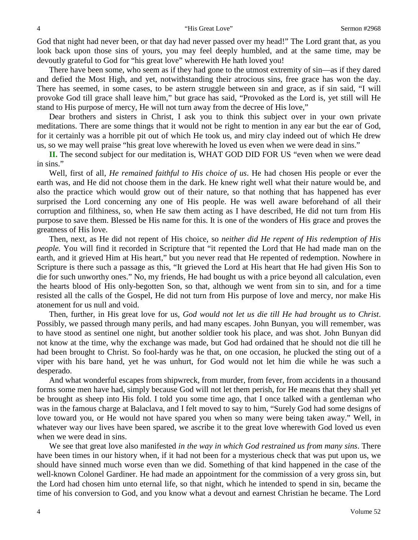God that night had never been, or that day had never passed over my head!" The Lord grant that, as you look back upon those sins of yours, you may feel deeply humbled, and at the same time, may be devoutly grateful to God for "his great love" wherewith He hath loved you!

There have been some, who seem as if they had gone to the utmost extremity of sin—as if they dared and defied the Most High, and yet, notwithstanding their atrocious sins, free grace has won the day. There has seemed, in some cases, to be astern struggle between sin and grace, as if sin said, "I will provoke God till grace shall leave him," but grace has said, "Provoked as the Lord is, yet still will He stand to His purpose of mercy, He will not turn away from the decree of His love,"

Dear brothers and sisters in Christ, I ask you to think this subject over in your own private meditations. There are some things that it would not be right to mention in any ear but the ear of God, for it certainly was a horrible pit out of which He took us, and miry clay indeed out of which He drew us, so we may well praise "his great love wherewith he loved us even when we were dead in sins."

**II.** The second subject for our meditation is, WHAT GOD DID FOR US "even when we were dead in sins."

Well, first of all, *He remained faithful to His choice of us*. He had chosen His people or ever the earth was, and He did not choose them in the dark. He knew right well what their nature would be, and also the practice which would grow out of their nature, so that nothing that has happened has ever surprised the Lord concerning any one of His people. He was well aware beforehand of all their corruption and filthiness, so, when He saw them acting as I have described, He did not turn from His purpose to save them. Blessed be His name for this. It is one of the wonders of His grace and proves the greatness of His love.

Then, next, as He did not repent of His choice, so *neither did He repent of His redemption of His people.* You will find it recorded in Scripture that "it repented the Lord that He had made man on the earth, and it grieved Him at His heart," but you never read that He repented of redemption. Nowhere in Scripture is there such a passage as this, "It grieved the Lord at His heart that He had given His Son to die for such unworthy ones." No, my friends, He had bought us with a price beyond all calculation, even the hearts blood of His only-begotten Son, so that, although we went from sin to sin, and for a time resisted all the calls of the Gospel, He did not turn from His purpose of love and mercy, nor make His atonement for us null and void.

Then, further, in His great love for us, *God would not let us die till He had brought us to Christ*. Possibly, we passed through many perils, and had many escapes. John Bunyan, you will remember, was to have stood as sentinel one night, but another soldier took his place, and was shot. John Bunyan did not know at the time, why the exchange was made, but God had ordained that he should not die till he had been brought to Christ. So fool-hardy was he that, on one occasion, he plucked the sting out of a viper with his bare hand, yet he was unhurt, for God would not let him die while he was such a desperado.

And what wonderful escapes from shipwreck, from murder, from fever, from accidents in a thousand forms some men have had, simply because God will not let them perish, for He means that they shall yet be brought as sheep into His fold. I told you some time ago, that I once talked with a gentleman who was in the famous charge at Balaclava, and I felt moved to say to him, "Surely God had some designs of love toward you, or He would not have spared you when so many were being taken away." Well, in whatever way our lives have been spared, we ascribe it to the great love wherewith God loved us even when we were dead in sins.

We see that great love also manifested *in the way in which God restrained us from many sins*. There have been times in our history when, if it had not been for a mysterious check that was put upon us, we should have sinned much worse even than we did. Something of that kind happened in the case of the well-known Colonel Gardiner. He had made an appointment for the commission of a very gross sin, but the Lord had chosen him unto eternal life, so that night, which he intended to spend in sin, became the time of his conversion to God, and you know what a devout and earnest Christian he became. The Lord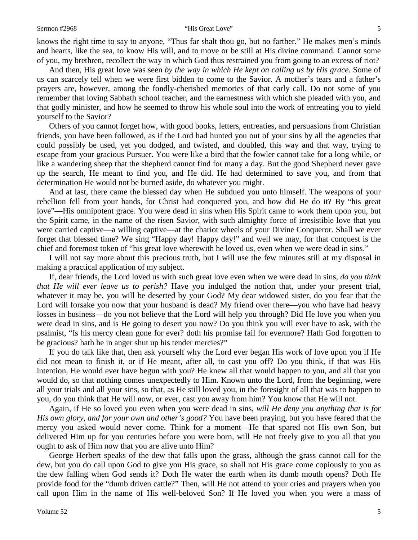#### Sermon #2968 **Sermon #2968** "His Great Love" 5

knows the right time to say to anyone, "Thus far shalt thou go, but no farther." He makes men's minds and hearts, like the sea, to know His will, and to move or be still at His divine command. Cannot some of you, my brethren, recollect the way in which God thus restrained you from going to an excess of riot?

And then, His great love was seen *by the way in which He kept on calling us by His grace*. Some of us can scarcely tell when we were first bidden to come to the Savior. A mother's tears and a father's prayers are, however, among the fondly-cherished memories of that early call. Do not some of you remember that loving Sabbath school teacher, and the earnestness with which she pleaded with you, and that godly minister, and how he seemed to throw his whole soul into the work of entreating you to yield yourself to the Savior?

Others of you cannot forget how, with good books, letters, entreaties, and persuasions from Christian friends, you have been followed, as if the Lord had hunted you out of your sins by all the agencies that could possibly be used, yet you dodged, and twisted, and doubled, this way and that way, trying to escape from your gracious Pursuer. You were like a bird that the fowler cannot take for a long while, or like a wandering sheep that the shepherd cannot find for many a day. But the good Shepherd never gave up the search, He meant to find you, and He did. He had determined to save you, and from that determination He would not be burned aside, do whatever you might.

And at last, there came the blessed day when He subdued you unto himself. The weapons of your rebellion fell from your hands, for Christ had conquered you, and how did He do it? By "his great love"—His omnipotent grace. You were dead in sins when His Spirit came to work them upon you, but the Spirit came, in the name of the risen Savior, with such almighty force of irresistible love that you were carried captive—a willing captive—at the chariot wheels of your Divine Conqueror. Shall we ever forget that blessed time? We sing "Happy day! Happy day!" and well we may, for that conquest is the chief and foremost token of "his great love wherewith he loved us, even when we were dead in sins."

I will not say more about this precious truth, but I will use the few minutes still at my disposal in making a practical application of my subject.

If, dear friends, the Lord loved us with such great love even when we were dead in sins, *do you think that He will ever leave us to perish?* Have you indulged the notion that, under your present trial, whatever it may be, you will be deserted by your God? My dear widowed sister, do you fear that the Lord will forsake you now that your husband is dead? My friend over there—you who have had heavy losses in business—do you not believe that the Lord will help you through? Did He love you when you were dead in sins, and is He going to desert you now? Do you think you will ever have to ask, with the psalmist, "Is his mercy clean gone for ever? doth his promise fail for evermore? Hath God forgotten to be gracious? hath he in anger shut up his tender mercies?"

If you do talk like that, then ask yourself why the Lord ever began His work of love upon you if He did not mean to finish it, or if He meant, after all, to cast you off? Do you think, if that was His intention, He would ever have begun with you? He knew all that would happen to you, and all that you would do, so that nothing comes unexpectedly to Him. Known unto the Lord, from the beginning, were all your trials and all your sins, so that, as He still loved you, in the foresight of all that was to happen to you, do you think that He will now, or ever, cast you away from him? You know that He will not.

Again, if He so loved you even when you were dead in sins, *will He deny you anything that is for His own glory, and for your own and other's good?* You have been praying, but you have feared that the mercy you asked would never come. Think for a moment—He that spared not His own Son, but delivered Him up for you centuries before you were born, will He not freely give to you all that you ought to ask of Him now that you are alive unto Him?

George Herbert speaks of the dew that falls upon the grass, although the grass cannot call for the dew, but you do call upon God to give you His grace, so shall not His grace come copiously to you as the dew falling when God sends it? Doth He water the earth when its dumb mouth opens? Doth He provide food for the "dumb driven cattle?" Then, will He not attend to your cries and prayers when you call upon Him in the name of His well-beloved Son? If He loved you when you were a mass of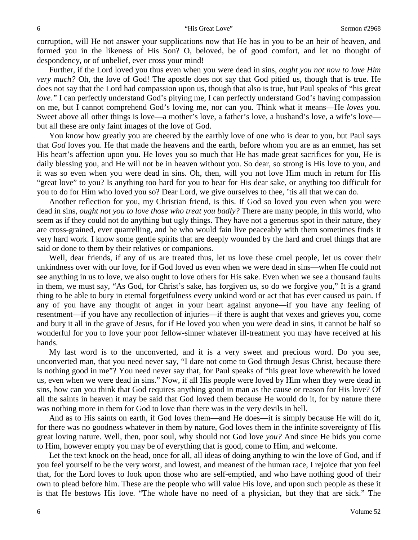corruption, will He not answer your supplications now that He has in you to be an heir of heaven, and formed you in the likeness of His Son? O, beloved, be of good comfort, and let no thought of despondency, or of unbelief, ever cross your mind!

Further, if the Lord loved you thus even when you were dead in sins, *ought you not now to love Him very much?* Oh, the love of God! The apostle does not say that God pitied us, though that is true. He does not say that the Lord had compassion upon us, though that also is true, but Paul speaks of "his great *love.*" I can perfectly understand God's pitying me, I can perfectly understand God's having compassion on me, but I cannot comprehend God's loving me, nor can you. Think what it means—He *loves* you. Sweet above all other things is love—a mother's love, a father's love, a husband's love, a wife's love but all these are only faint images of the love of God.

You know how greatly you are cheered by the earthly love of one who is dear to you, but Paul says that *God* loves you. He that made the heavens and the earth, before whom you are as an emmet, has set His heart's affection upon you. He loves you so much that He has made great sacrifices for you, He is daily blessing you, and He will not be in heaven without you. So dear, so strong is His love to you, and it was so even when you were dead in sins. Oh, then, will you not love Him much in return for His "great love" to you? Is anything too hard for you to bear for His dear sake, or anything too difficult for you to do for Him who loved you so? Dear Lord, we give ourselves to thee, 'tis all that we can do.

Another reflection for you, my Christian friend, is this. If God so loved you even when you were dead in sins, *ought not you to love those who treat you badly?* There are many people, in this world, who seem as if they could not do anything but ugly things. They have not a generous spot in their nature, they are cross-grained, ever quarrelling, and he who would fain live peaceably with them sometimes finds it very hard work. I know some gentle spirits that are deeply wounded by the hard and cruel things that are said or done to them by their relatives or companions.

Well, dear friends, if any of us are treated thus, let us love these cruel people, let us cover their unkindness over with our love, for if God loved us even when we were dead in sins—when He could not see anything in us to love, we also ought to love others for His sake. Even when we see a thousand faults in them, we must say, "As God, for Christ's sake, has forgiven us, so do we forgive you," It is a grand thing to be able to bury in eternal forgetfulness every unkind word or act that has ever caused us pain. If any of you have any thought of anger in your heart against anyone—if you have any feeling of resentment—if you have any recollection of injuries—if there is aught that vexes and grieves you, come and bury it all in the grave of Jesus, for if He loved you when you were dead in sins, it cannot be half so wonderful for you to love your poor fellow-sinner whatever ill-treatment you may have received at his hands.

My last word is to the unconverted, and it is a very sweet and precious word. Do you see, unconverted man, that you need never say, "I dare not come to God through Jesus Christ, because there is nothing good in me"? You need never say that, for Paul speaks of "his great love wherewith he loved us, even when we were dead in sins." Now, if all His people were loved by Him when they were dead in sins, how can you think that God requires anything good in man as the cause or reason for His love? Of all the saints in heaven it may be said that God loved them because He would do it, for by nature there was nothing more in them for God to love than there was in the very devils in hell.

And as to His saints on earth, if God loves them—and He does—it is simply because He will do it, for there was no goodness whatever in them by nature, God loves them in the infinite sovereignty of His great loving nature. Well, then, poor soul, why should not God love *you?* And since He bids you come to Him, however empty you may be of everything that is good, come to Him, and welcome.

Let the text knock on the head, once for all, all ideas of doing anything to win the love of God, and if you feel yourself to be the very worst, and lowest, and meanest of the human race, I rejoice that you feel that, for the Lord loves to look upon those who are self-emptied, and who have nothing good of their own to plead before him. These are the people who will value His love, and upon such people as these it is that He bestows His love. "The whole have no need of a physician, but they that are sick." The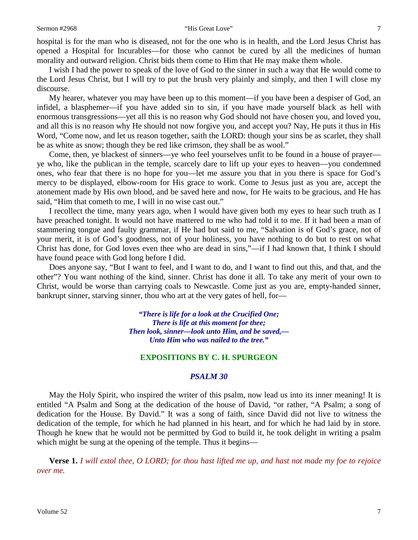hospital is for the man who is diseased, not for the one who is in health, and the Lord Jesus Christ has opened a Hospital for Incurables—for those who cannot be cured by all the medicines of human morality and outward religion. Christ bids them come to Him that He may make them whole.

I wish I had the power to speak of the love of God to the sinner in such a way that He would come to the Lord Jesus Christ, but I will try to put the brush very plainly and simply, and then I will close my discourse.

My hearer, whatever you may have been up to this moment—if you have been a despiser of God, an infidel, a blasphemer—if you have added sin to sin, if you have made yourself black as hell with enormous transgressions—yet all this is no reason why God should not have chosen you, and loved you, and all this is no reason why He should not now forgive you, and accept you? Nay, He puts it thus in His Word, "Come now, and let us reason together, saith the LORD: though your sins be as scarlet, they shall be as white as snow; though they be red like crimson, they shall be as wool."

Come, then, ye blackest of sinners—ye who feel yourselves unfit to be found in a house of prayer ye who, like the publican in the temple, scarcely dare to lift up your eyes to heaven—you condemned ones, who fear that there is no hope for you—let me assure you that in you there is space for God's mercy to be displayed, elbow-room for His grace to work. Come to Jesus just as you are, accept the atonement made by His own blood, and be saved here and now, for He waits to be gracious, and He has said, "Him that cometh to me, I will in no wise cast out."

I recollect the time, many years ago, when I would have given both my eyes to hear such truth as I have preached tonight. It would not have mattered to me who had told it to me. If it had been a man of stammering tongue and faulty grammar, if He had but said to me, "Salvation is of God's grace, not of your merit, it is of God's goodness, not of your holiness, you have nothing to do but to rest on what Christ has done, for God loves even thee who are dead in sins,"—if I had known that, I think I should have found peace with God long before I did.

Does anyone say, "But I want to feel, and I want to do, and I want to find out this, and that, and the other"? You want nothing of the kind, sinner. Christ has done it all. To take any merit of your own to Christ, would be worse than carrying coals to Newcastle. Come just as you are, empty-handed sinner, bankrupt sinner, starving sinner, thou who art at the very gates of hell, for—

> *"There is life for a look at the Crucified One; There is life at this moment for thee; Then look, sinner—look unto Him, and be saved,— Unto Him who was nailed to the tree."*

#### **EXPOSITIONS BY C. H. SPURGEON**

#### *PSALM 30*

May the Holy Spirit, who inspired the writer of this psalm, now lead us into its inner meaning! It is entitled "A Psalm and Song at the dedication of the house of David, "or rather, "A Psalm; a song of dedication for the House. By David." It was a song of faith, since David did not live to witness the dedication of the temple, for which he had planned in his heart, and for which he had laid by in store. Though he knew that he would not be permitted by God to build it, he took delight in writing a psalm which might be sung at the opening of the temple. Thus it begins—

**Verse 1.** *I will extol thee, O LORD; for thou hast lifted me up, and hast not made my foe to rejoice over me.*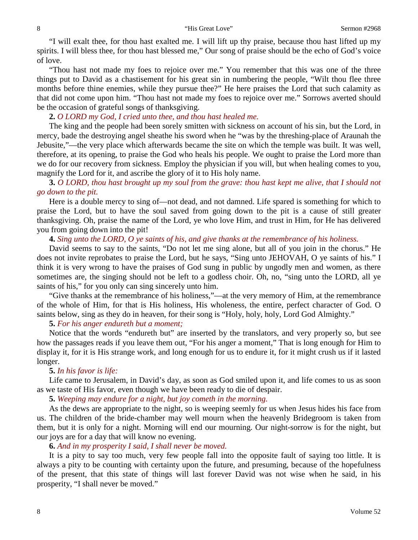"I will exalt thee, for thou hast exalted me. I will lift up thy praise, because thou hast lifted up my spirits. I will bless thee, for thou hast blessed me," Our song of praise should be the echo of God's voice of love.

"Thou hast not made my foes to rejoice over me." You remember that this was one of the three things put to David as a chastisement for his great sin in numbering the people, "Wilt thou flee three months before thine enemies, while they pursue thee?" He here praises the Lord that such calamity as that did not come upon him. "Thou hast not made my foes to rejoice over me." Sorrows averted should be the occasion of grateful songs of thanksgiving.

### **2.** *O LORD my God, I cried unto thee, and thou hast healed me.*

The king and the people had been sorely smitten with sickness on account of his sin, but the Lord, in mercy, bade the destroying angel sheathe his sword when he "was by the threshing-place of Araunah the Jebusite,"—the very place which afterwards became the site on which the temple was built. It was well, therefore, at its opening, to praise the God who heals his people. We ought to praise the Lord more than we do for our recovery from sickness. Employ the physician if you will, but when healing comes to you, magnify the Lord for it, and ascribe the glory of it to His holy name.

**3.** *O LORD, thou hast brought up my soul from the grave: thou hast kept me alive, that I should not go down to the pit.*

Here is a double mercy to sing of—not dead, and not damned. Life spared is something for which to praise the Lord, but to have the soul saved from going down to the pit is a cause of still greater thanksgiving. Oh, praise the name of the Lord, ye who love Him, and trust in Him, for He has delivered you from going down into the pit!

#### **4.** *Sing unto the LORD, O ye saints of his, and give thanks at the remembrance of his holiness.*

David seems to say to the saints, "Do not let me sing alone, but all of you join in the chorus." He does not invite reprobates to praise the Lord, but he says, "Sing unto JEHOVAH, O ye saints of his." I think it is very wrong to have the praises of God sung in public by ungodly men and women, as there sometimes are, the singing should not be left to a godless choir. Oh, no, "sing unto the LORD, all ye saints of his," for you only can sing sincerely unto him.

"Give thanks at the remembrance of his holiness,"—at the very memory of Him, at the remembrance of the whole of Him, for that is His holiness, His wholeness, the entire, perfect character of God. O saints below, sing as they do in heaven, for their song is "Holy, holy, holy, Lord God Almighty."

## **5.** *For his anger endureth but a moment;*

Notice that the words "endureth but" are inserted by the translators, and very properly so, but see how the passages reads if you leave them out, "For his anger a moment," That is long enough for Him to display it, for it is His strange work, and long enough for us to endure it, for it might crush us if it lasted longer.

## **5.** *In his favor is life:*

Life came to Jerusalem, in David's day, as soon as God smiled upon it, and life comes to us as soon as we taste of His favor, even though we have been ready to die of despair.

**5.** *Weeping may endure for a night, but joy cometh in the morning.*

As the dews are appropriate to the night, so is weeping seemly for us when Jesus hides his face from us. The children of the bride-chamber may well mourn when the heavenly Bridegroom is taken from them, but it is only for a night. Morning will end our mourning. Our night-sorrow is for the night, but our joys are for a day that will know no evening.

### **6.** *And in my prosperity I said, I shall never be moved.*

It is a pity to say too much, very few people fall into the opposite fault of saying too little. It is always a pity to be counting with certainty upon the future, and presuming, because of the hopefulness of the present, that this state of things will last forever David was not wise when he said, in his prosperity, "I shall never be moved."